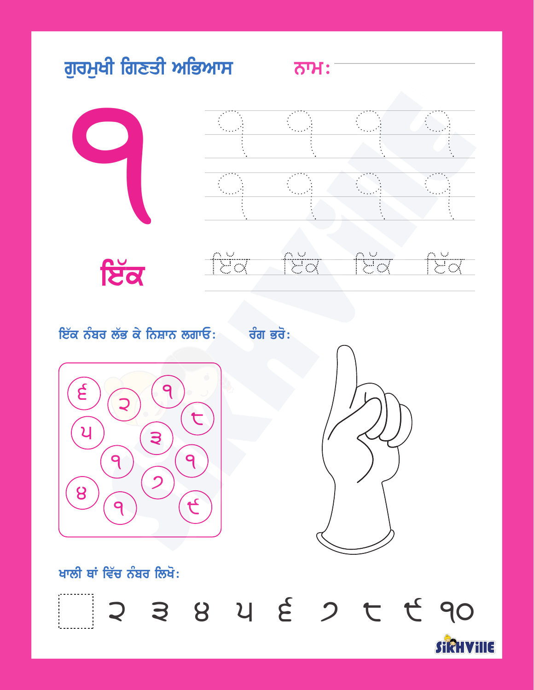







ਇੱਕ ਨੰਬਰ ਲੱਭ ਕੇ ਨਿਸ਼ਾਨ ਲਗਾਓ: ਰੰਗ ਭਰੋ:





ਖਾਲੀ ਥਾਂ ਵਿੱਚ ਨੰਬਰ ਲਿਖੋ:

2 3 8 4 E 2 T T 90 SIRHVIIIE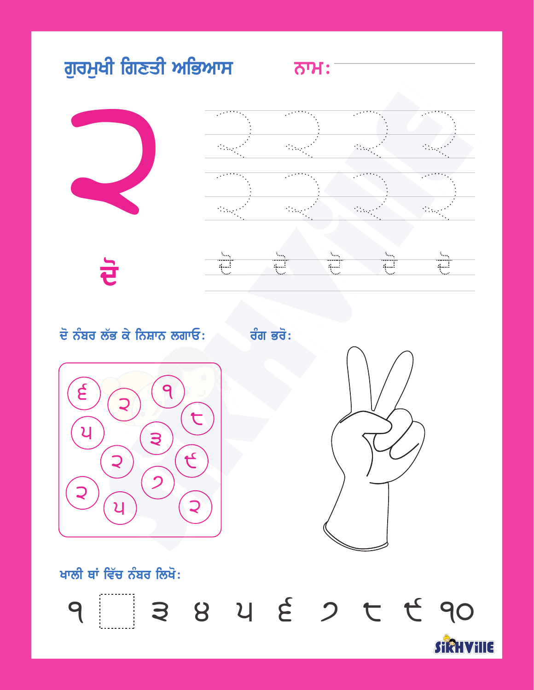

ਦੋ



ਦੋ ਨੰਬਰ ਲੱਭ ਕੇ ਨਿਸ਼ਾਨ ਲਗਾਓ: ਰੰਗ ਭਰੋ:





ਖਾਲੀ ਥਾਂ ਵਿੱਚ ਨੰਬਰ ਲਿਖੋ:

9 3 8 9 9 6 7 6 90 **STRHVILLE**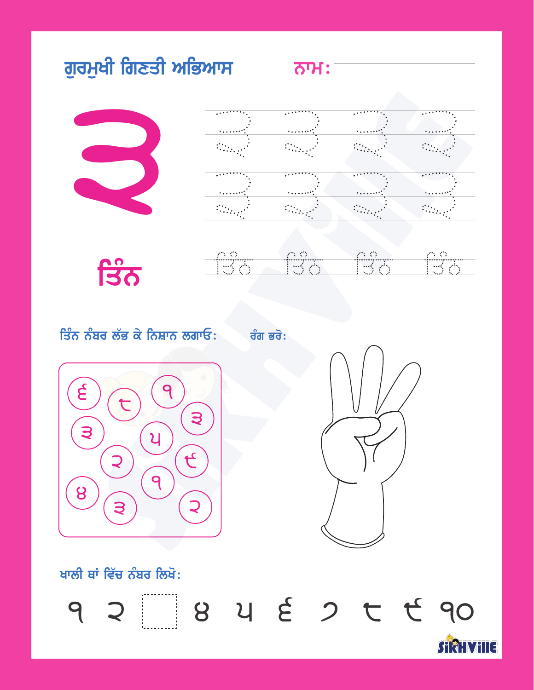

| . | $\ddots$ | . <del>.</del> |
|---|----------|----------------|
|   |          |                |
|   |          |                |
|   |          |                |
|   |          |                |
|   |          |                |

ਤਿੰਨ

| <b>Service</b>           | 17 Y.H                 | 7 P. L. Carl    | - ANG - ANG -           |
|--------------------------|------------------------|-----------------|-------------------------|
|                          | ***************        |                 |                         |
| <b>Controlled States</b> | بالإسلامي والمستبدل    | Park 1998       | يخر مسا                 |
| <b>Stage</b>             | <b>Contract Action</b> | the problems of | محمد والمنافذة المنافذة |

ਤਿੰਨ ਨੰਬਰ ਲੱਭ ਕੇ ਨਿਸ਼ਾਨ ਲਗਾਓ: ਬੰਗ ਭਰੋ:





ਖਾਲੀ ਥਾਂ ਵਿੱਚ ਨੰਬਰ ਲਿਖੋ:

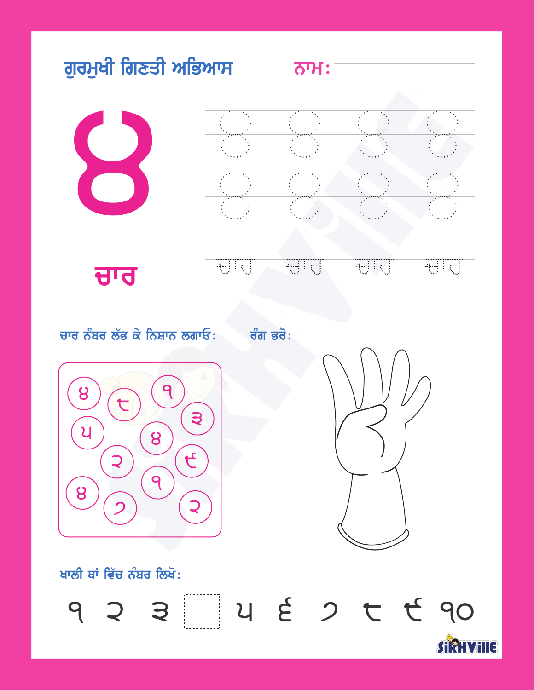



ਚਾਰ

#### समि T a-U gi ᆔ

ਚਾਰ ਨੰਬਰ ਲੱਭ ਕੇ ਨਿਸ਼ਾਨ ਲਗਾਓ: ਰੰਗ ਭਰੋ:





ਖਾਲੀ ਥਾਂ ਵਿੱਚ ਨੰਬਰ ਲਿਖੋ:

 $93374522690$ **STRHWILE**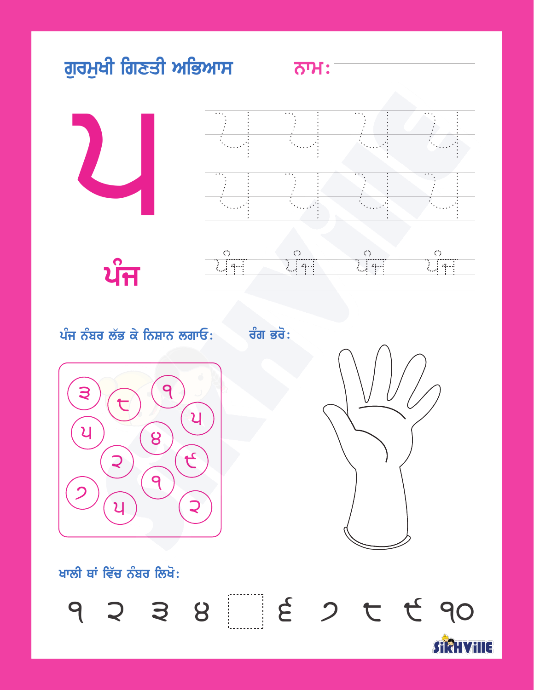





#### ਪੰਜ ਨੰਬਰ ਲੱਭ ਕੇ ਨਿਸ਼ਾਨ ਲਗਾਓ: ਰੰਗ ਭਰੋ:





ਖਾਲੀ ਥਾਂ ਵਿੱਚ ਨੰਬਰ ਲਿਖੋ:

 $9 3 3 8 8 2 5 7 6 90$ **STRHVILLE**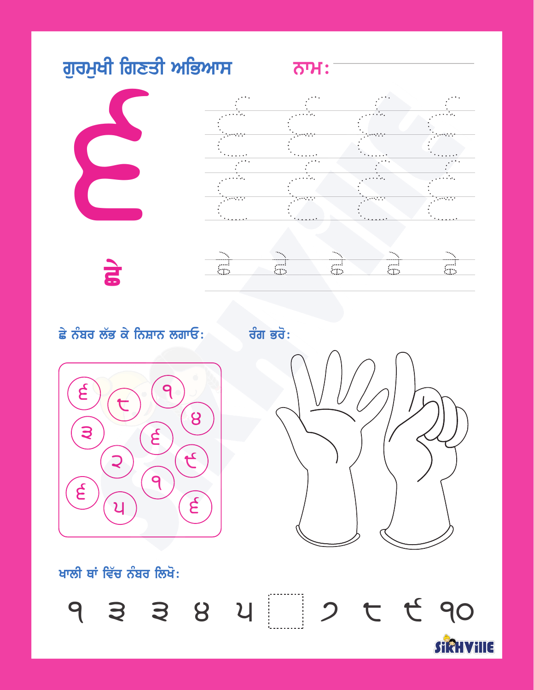

**E** 





#### ਛੇ ਨੰਬਰ ਲੱਭ ਕੇ ਨਿਸ਼ਾਨ ਲਗਾਓ: ਰੰਗ ਭਰੋ:





ਖਾਲੀ ਥਾਂ ਵਿੱਚ ਨੰਬਰ ਲਿਖੋ:

9 3 3 8 4 7 6 7 6 90

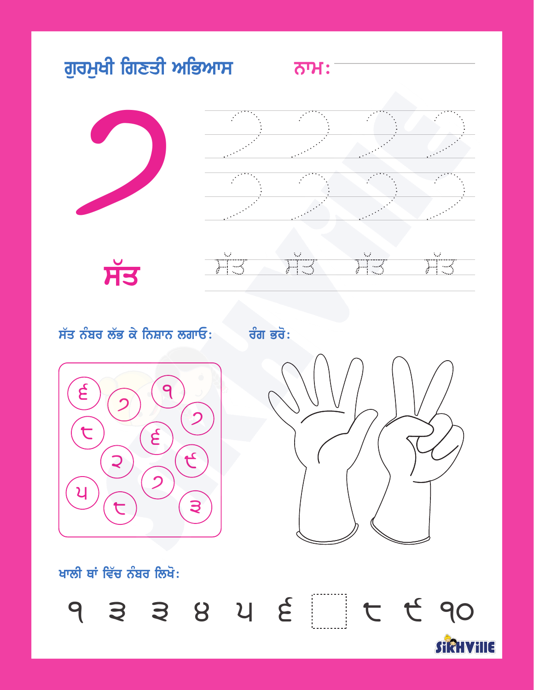

#### ਸੱਤ ਨੰਬਰ ਲੱਭ ਕੇ ਨਿਸ਼ਾਨ ਲਗਾਓ:

ਰੰਗ ਭਰੋ:





ਖਾਲੀ ਥਾਂ ਵਿੱਚ ਨੰਬਰ ਲਿਖੋ:

933842 C E 90  $\mathbb{R}^n$ 

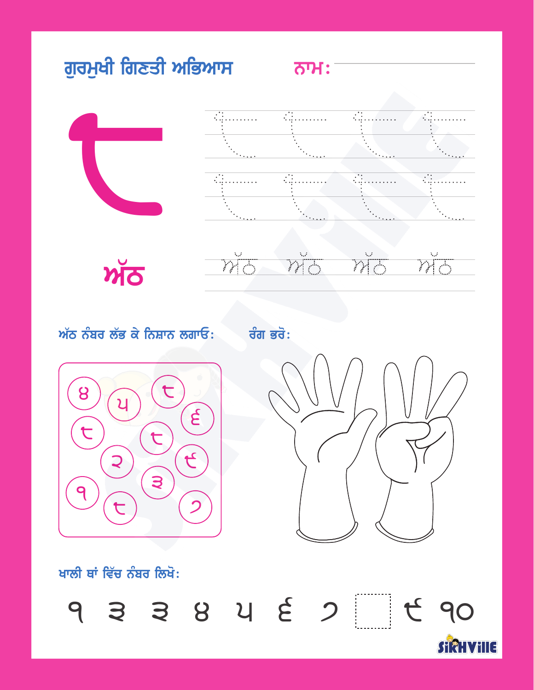





#### $\sum_{i=1}^{N}$  $\gamma_{\rm{LO}}^{\rm{V}}$  $\breve{\overline{\mathcal{M}}}\overline{\overline{\mathcal{O}}}$  $\breve{\overline{M}}_{\overline{\mathbb{O}}}$

ਅੱਠ ਨੰਬਰ ਲੱਭ ਕੇ ਨਿਸ਼ਾਨ ਲਗਾਓ: ਰੰਗ ਭਰੋ:





ਖਾਲੀ ਥਾਂ ਵਿੱਚ ਨੰਬਰ ਲਿਖੋ:

9 3 3 8 4 2 7 1 4 90

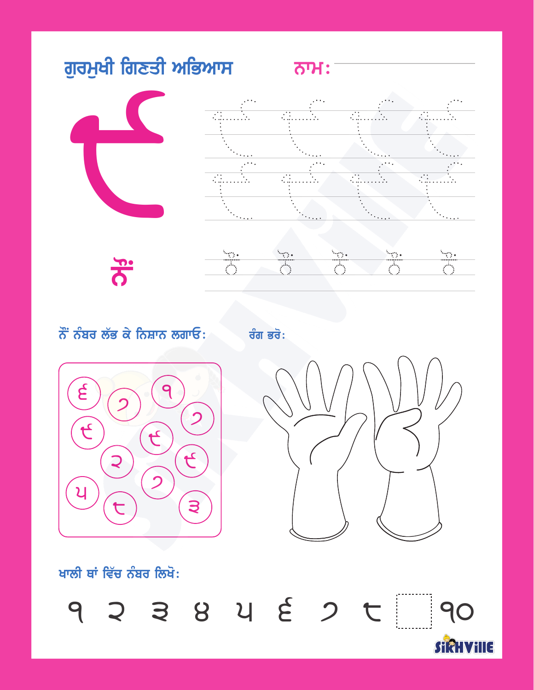

**PHO** 



 $\frac{1}{\sqrt{2}}$  $\frac{1}{\sqrt{2}}$  $\frac{1}{\sqrt{2}}$ 签  $\frac{1}{\sqrt{2}}$ 

 $\ddot{\sigma}$  ਨੰਬਰ ਲੱਭ ਕੇ ਨਿਸ਼ਾਨ ਲਗਾਓ: ਕੰਗ ਭਰੋ:





STRHVILLE

ਖਾਲੀ ਥਾਂ ਵਿੱਚ ਨੰਬਰ ਲਿਖੋ:

9 2 3 8 4 2 0 1 90